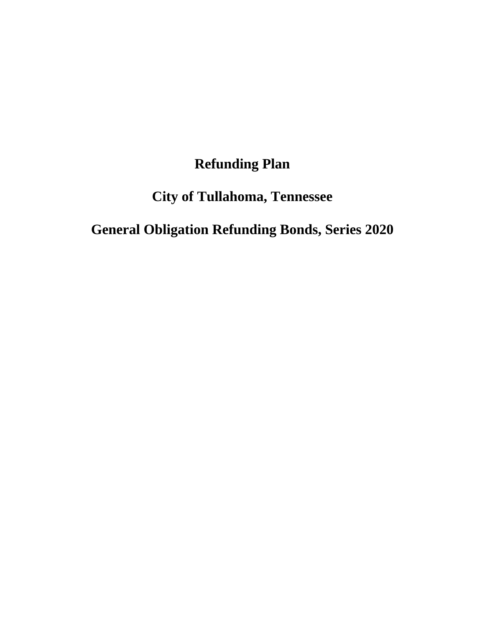# **Refunding Plan**

# **City of Tullahoma, Tennessee**

# **General Obligation Refunding Bonds, Series 2020**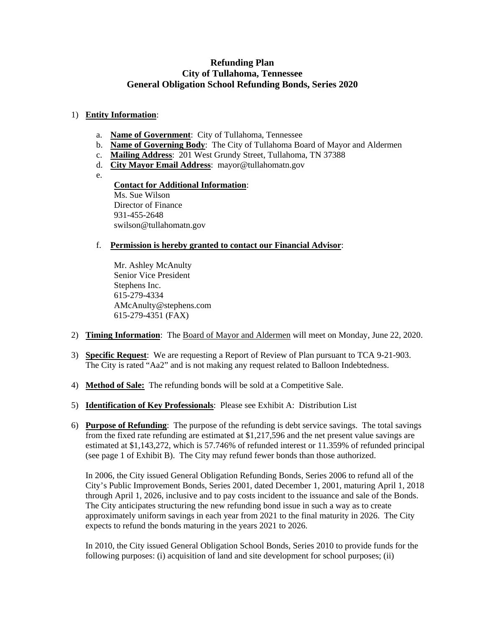## **Refunding Plan City of Tullahoma, Tennessee General Obligation School Refunding Bonds, Series 2020**

### 1) **Entity Information**:

- a. **Name of Government**: City of Tullahoma, Tennessee
- b. **Name of Governing Body**: The City of Tullahoma Board of Mayor and Aldermen
- c. **Mailing Address**: 201 West Grundy Street, Tullahoma, TN 37388
- d. **City Mayor Email Address**: mayor@tullahomatn.gov
- e.

#### **Contact for Additional Information**: Ms. Sue Wilson Director of Finance 931-455-2648

f. **Permission is hereby granted to contact our Financial Advisor**:

Mr. Ashley McAnulty Senior Vice President Stephens Inc. 615-279-4334 AMcAnulty@stephens.com 615-279-4351 (FAX)

swilson@tullahomatn.gov

- 2) **Timing Information**: The Board of Mayor and Aldermen will meet on Monday, June 22, 2020.
- 3) **Specific Request**: We are requesting a Report of Review of Plan pursuant to TCA 9-21-903. The City is rated "Aa2" and is not making any request related to Balloon Indebtedness.
- 4) **Method of Sale:** The refunding bonds will be sold at a Competitive Sale.
- 5) **Identification of Key Professionals**: Please see Exhibit A: Distribution List
- 6) **Purpose of Refunding**: The purpose of the refunding is debt service savings. The total savings from the fixed rate refunding are estimated at \$1,217,596 and the net present value savings are estimated at \$1,143,272, which is 57.746% of refunded interest or 11.359% of refunded principal (see page 1 of Exhibit B). The City may refund fewer bonds than those authorized.

In 2006, the City issued General Obligation Refunding Bonds, Series 2006 to refund all of the City's Public Improvement Bonds, Series 2001, dated December 1, 2001, maturing April 1, 2018 through April 1, 2026, inclusive and to pay costs incident to the issuance and sale of the Bonds. The City anticipates structuring the new refunding bond issue in such a way as to create approximately uniform savings in each year from 2021 to the final maturity in 2026. The City expects to refund the bonds maturing in the years 2021 to 2026.

In 2010, the City issued General Obligation School Bonds, Series 2010 to provide funds for the following purposes: (i) acquisition of land and site development for school purposes; (ii)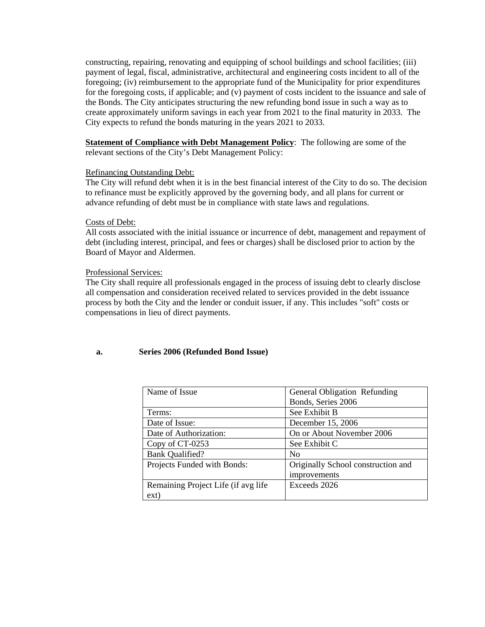constructing, repairing, renovating and equipping of school buildings and school facilities; (iii) payment of legal, fiscal, administrative, architectural and engineering costs incident to all of the foregoing; (iv) reimbursement to the appropriate fund of the Municipality for prior expenditures for the foregoing costs, if applicable; and (v) payment of costs incident to the issuance and sale of the Bonds. The City anticipates structuring the new refunding bond issue in such a way as to create approximately uniform savings in each year from 2021 to the final maturity in 2033. The City expects to refund the bonds maturing in the years 2021 to 2033.

**Statement of Compliance with Debt Management Policy**: The following are some of the relevant sections of the City's Debt Management Policy:

#### Refinancing Outstanding Debt:

The City will refund debt when it is in the best financial interest of the City to do so. The decision to refinance must be explicitly approved by the governing body, and all plans for current or advance refunding of debt must be in compliance with state laws and regulations.

#### Costs of Debt:

All costs associated with the initial issuance or incurrence of debt, management and repayment of debt (including interest, principal, and fees or charges) shall be disclosed prior to action by the Board of Mayor and Aldermen.

#### Professional Services:

The City shall require all professionals engaged in the process of issuing debt to clearly disclose all compensation and consideration received related to services provided in the debt issuance process by both the City and the lender or conduit issuer, if any. This includes "soft" costs or compensations in lieu of direct payments.

#### **a. Series 2006 (Refunded Bond Issue)**

| Name of Issue                       | <b>General Obligation Refunding</b> |
|-------------------------------------|-------------------------------------|
|                                     | Bonds, Series 2006                  |
| Terms:                              | See Exhibit B                       |
| Date of Issue:                      | December 15, 2006                   |
| Date of Authorization:              | On or About November 2006           |
| Copy of CT-0253                     | See Exhibit C                       |
| <b>Bank Qualified?</b>              | N <sub>0</sub>                      |
| Projects Funded with Bonds:         | Originally School construction and  |
|                                     | improvements                        |
| Remaining Project Life (if avg life | Exceeds 2026                        |
| ext)                                |                                     |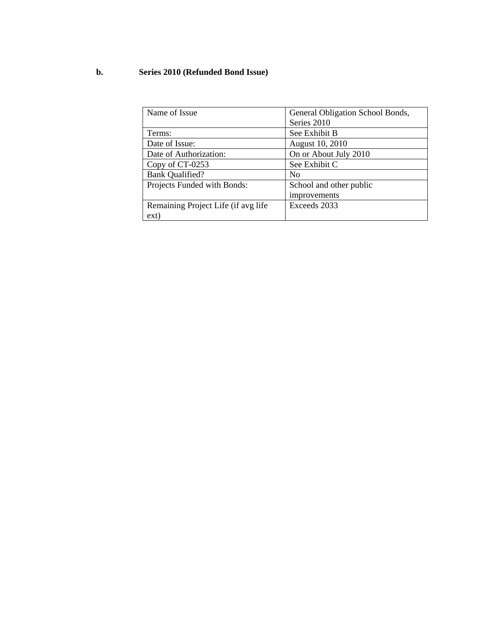## **b. Series 2010 (Refunded Bond Issue)**

| Name of Issue                       | General Obligation School Bonds, |
|-------------------------------------|----------------------------------|
|                                     | Series 2010                      |
| Terms:                              | See Exhibit B                    |
| Date of Issue:                      | August 10, 2010                  |
| Date of Authorization:              | On or About July 2010            |
| Copy of CT-0253                     | See Exhibit C                    |
| <b>Bank Qualified?</b>              | No                               |
| Projects Funded with Bonds:         | School and other public          |
|                                     | improvements                     |
| Remaining Project Life (if avg life | Exceeds 2033                     |
| ext)                                |                                  |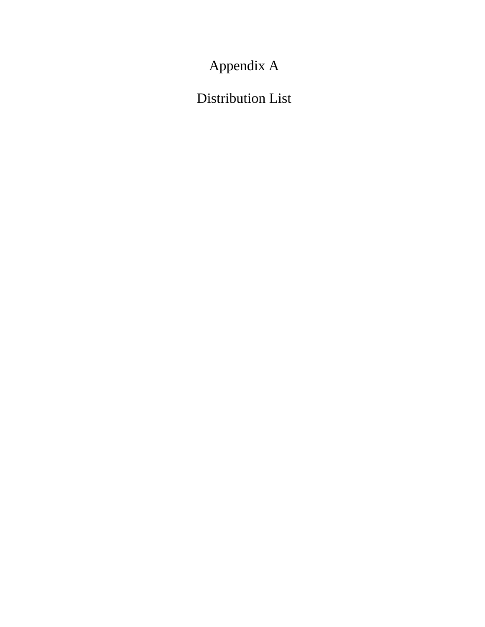Appendix A

Distribution List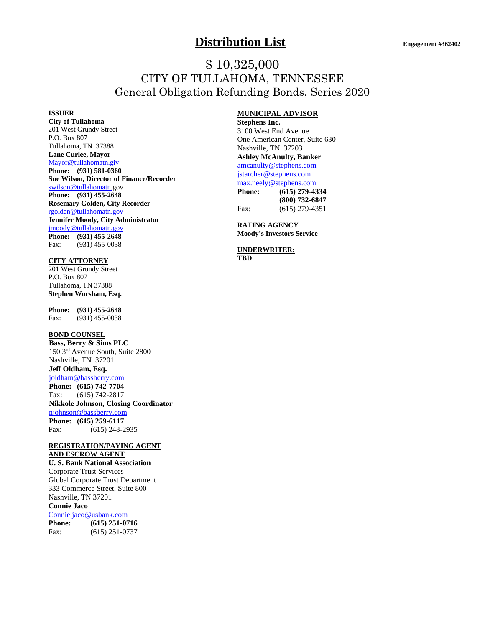## **Distribution List Engagement #362402**

## \$ 10,325,000 CITY OF TULLAHOMA, TENNESSEE General Obligation Refunding Bonds, Series 2020

#### **ISSUER**

**City of Tullahoma**  201 West Grundy Street P.O. Box 807 Tullahoma, TN 37388 **Lane Curlee, Mayor**  Mayor@tullahomatn.giv **Phone: (931) 581-0360 Sue Wilson, Director of Finance/Recorder**  swilson@tullahomatn.gov **Phone: (931) 455-2648 Rosemary Golden, City Recorder**  rgolden@tullahomatn.gov **Jennifer Moody, City Administrator**  jmoody@tullahomatn.gov **Phone: (931) 455-2648**  Fax: (931) 455-0038

#### **CITY ATTORNEY**

201 West Grundy Street P.O. Box 807 Tullahoma, TN 37388 **Stephen Worsham, Esq.** 

**Phone:** (931) 455-2648<br>Fax: (931) 455-0038 (931) 455-0038

#### **BOND COUNSEL**

**Bass, Berry & Sims PLC**  150 3rd Avenue South, Suite 2800 Nashville, TN 37201 **Jeff Oldham, Esq.**  joldham@bassberry.com **Phone: (615) 742-7704**  Fax: (615) 742-2817 **Nikkole Johnson, Closing Coordinator**  njohnson@bassberry.com **Phone: (615) 259-6117**  Fax: (615) 248-2935

#### **REGISTRATION/PAYING AGENT AND ESCROW AGENT**

**U. S. Bank National Association**  Corporate Trust Services Global Corporate Trust Department 333 Commerce Street, Suite 800 Nashville, TN 37201 **Connie Jaco** 

## Connie.jaco@usbank.com

**Phone: (615) 251-0716**  Fax: (615) 251-0737

#### **MUNICIPAL ADVISOR**

**Stephens Inc.**  3100 West End Avenue One American Center, Suite 630 Nashville, TN 37203 **Ashley McAnulty, Banker**  amcanulty@stephens.com jstarcher@stephens.com max.neely@stephens.com **Phone: (615) 279-4334 (800) 732-6847** Fax: (615) 279-4351

**RATING AGENCY Moody's Investors Service** 

**UNDERWRITER: TBD**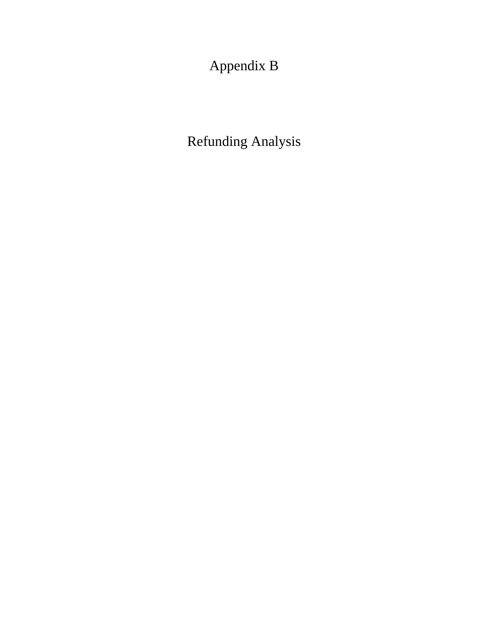Appendix B

Refunding Analysis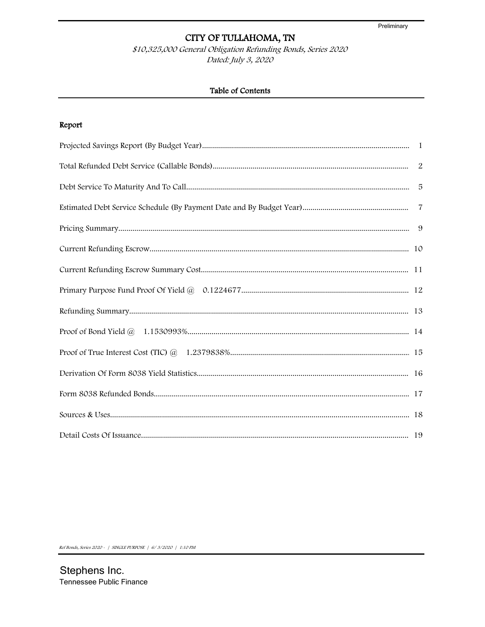\$10,325,000 General Obligation Refunding Bonds, Series 2020 Dated: July 3, 2020

## Table of Contents

## Report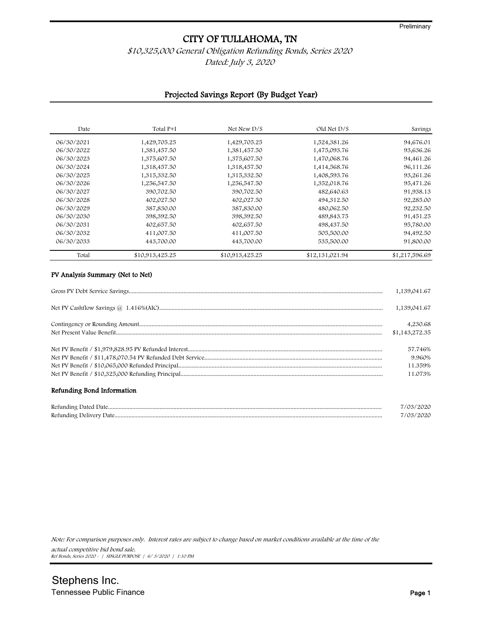### \$10,325,000 General Obligation Refunding Bonds, Series 2020 Dated: July 3, 2020

#### Projected Savings Report (By Budget Year)

| Date       | Total P+I       | Net New D/S     | Old Net D/S     | Savings        |
|------------|-----------------|-----------------|-----------------|----------------|
| 06/30/2021 | 1,429,705.25    | 1,429,705.25    | 1,524,381.26    | 94,676.01      |
| 06/30/2022 | 1,381,457.50    | 1,381,457.50    | 1,475,093.76    | 93,636.26      |
| 06/30/2023 | 1,375,607.50    | 1,375,607.50    | 1,470,068.76    | 94,461.26      |
| 06/30/2024 | 1,318,457.50    | 1,318,457.50    | 1,414,568.76    | 96,111.26      |
| 06/30/2025 | 1,315,332.50    | 1,315,332.50    | 1,408,593.76    | 93,261.26      |
| 06/30/2026 | 1,256,547.50    | 1,256,547.50    | 1,352,018.76    | 95,471.26      |
| 06/30/2027 | 390,702.50      | 390,702.50      | 482,640.63      | 91,938.13      |
| 06/30/2028 | 402,027.50      | 402,027.50      | 494,312.50      | 92,285.00      |
| 06/30/2029 | 387,830.00      | 387,830.00      | 480,062.50      | 92,232.50      |
| 06/30/2030 | 398,392.50      | 398,392.50      | 489,843.75      | 91,451.25      |
| 06/30/2031 | 402,657.50      | 402,657.50      | 498,437.50      | 95,780.00      |
| 06/30/2032 | 411,007.50      | 411,007.50      | 505,500.00      | 94,492.50      |
| 06/30/2033 | 443,700.00      | 443,700.00      | 535,500.00      | 91,800.00      |
| Total      | \$10,913,425.25 | \$10,913,425.25 | \$12,131,021.94 | \$1,217,596.69 |

## Gross PV Debt Service Savings....................................................................................................................................................................... 1,139,041.67 Net PV Cashflow Savings @ 1.416%(AIC)................................................................................................................................................... 1,139,041.67 Contingency or Rounding Amount................................................................................................................................................................ 4,230.68 Net Present Value Benefit............................................................................................................................................................................... \$1,143,272.35 Net PV Benefit / \$1,979,828.95 PV Refunded Interest................................................................................................................................ 57.746% Net PV Benefit / \$11,478,070.54 PV Refunded Debt Service..................................................................................................................... 9.960% Net PV Benefit / \$10,065,000 Refunded Principal...................................................................................................................................... 11.359% Net PV Benefit / \$10,325,000 Refunding Principal..................................................................................................................................... 11.073%

#### Refunding Bond Information

| $\sim$ |  |
|--------|--|
| $\sim$ |  |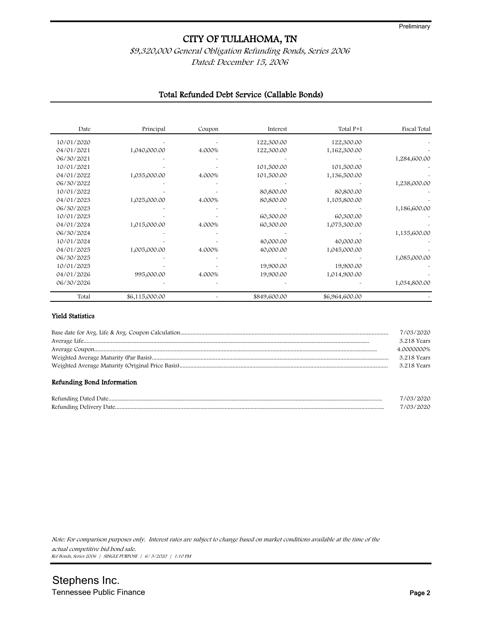## \$9,320,000 General Obligation Refunding Bonds, Series 2006 Dated: December 15, 2006

#### Total Refunded Debt Service (Callable Bonds)

| Date       | Principal      | Coupon | Interest     | Total P+I      | Fiscal Total |
|------------|----------------|--------|--------------|----------------|--------------|
| 10/01/2020 |                |        | 122,300.00   | 122,300.00     |              |
| 04/01/2021 | 1,040,000.00   | 4.000% | 122,300.00   | 1,162,300.00   |              |
| 06/30/2021 |                |        |              |                | 1,284,600.00 |
| 10/01/2021 |                |        | 101,500.00   | 101,500.00     |              |
| 04/01/2022 | 1,035,000.00   | 4.000% | 101,500.00   | 1,136,500.00   |              |
| 06/30/2022 |                |        |              |                | 1,238,000.00 |
| 10/01/2022 |                |        | 80,800.00    | 80,800.00      |              |
| 04/01/2023 | 1,025,000.00   | 4.000% | 80,800.00    | 1,105,800.00   |              |
| 06/30/2023 |                |        |              |                | 1,186,600.00 |
| 10/01/2023 |                |        | 60,300.00    | 60,300.00      |              |
| 04/01/2024 | 1,015,000.00   | 4.000% | 60,300.00    | 1,075,300.00   |              |
| 06/30/2024 |                |        |              |                | 1,135,600.00 |
| 10/01/2024 |                |        | 40,000.00    | 40,000.00      |              |
| 04/01/2025 | 1,005,000.00   | 4.000% | 40,000.00    | 1,045,000.00   |              |
| 06/30/2025 |                |        |              |                | 1,085,000.00 |
| 10/01/2025 |                |        | 19,900.00    | 19,900.00      |              |
| 04/01/2026 | 995,000.00     | 4.000% | 19,900.00    | 1,014,900.00   |              |
| 06/30/2026 |                |        |              |                | 1,034,800.00 |
| Total      | \$6,115,000.00 |        | \$849,600.00 | \$6,964,600.00 |              |

#### Yield Statistics

| Refunding Bond Information |             |
|----------------------------|-------------|
|                            | 3.218 Years |
|                            | 3.218 Years |
|                            | 4.0000000%  |
|                            | 3.218 Years |
|                            | 7/03/2020   |

| Refunding Dated Date.         |  |
|-------------------------------|--|
| Refunding<br>. Jelivery Llate |  |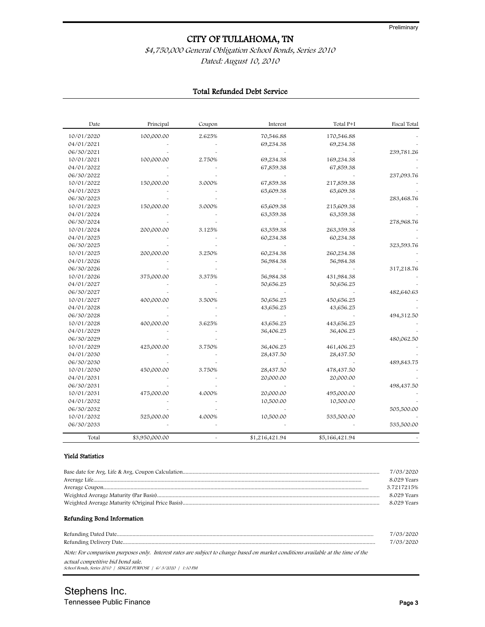## \$4,750,000 General Obligation School Bonds, Series 2010 Dated: August 10, 2010

## Total Refunded Debt Service

| Date       | Principal      | Coupon                | Interest       | Total P+I      | Fiscal Total |
|------------|----------------|-----------------------|----------------|----------------|--------------|
| 10/01/2020 | 100,000.00     | 2.625%                | 70,546.88      | 170,546.88     |              |
| 04/01/2021 |                |                       | 69,234.38      | 69,234.38      |              |
| 06/30/2021 |                |                       |                |                | 239,781.26   |
| 10/01/2021 | 100,000.00     | 2.750%                | 69,234.38      | 169,234.38     |              |
| 04/01/2022 |                |                       | 67,859.38      | 67,859.38      |              |
| 06/30/2022 |                |                       |                |                | 237,093.76   |
| 10/01/2022 | 150,000.00     | 3.000%                | 67,859.38      | 217,859.38     |              |
| 04/01/2023 |                |                       | 65,609.38      | 65,609.38      |              |
| 06/30/2023 |                |                       |                |                | 283,468.76   |
| 10/01/2023 | 150,000.00     | 3.000%                | 65,609.38      | 215,609.38     |              |
| 04/01/2024 |                |                       | 63,359.38      | 63,359.38      |              |
| 06/30/2024 |                |                       |                |                | 278,968.76   |
| 10/01/2024 | 200,000.00     | 3.125%                | 63,359.38      | 263,359.38     |              |
| 04/01/2025 |                |                       | 60,234.38      | 60,234.38      |              |
| 06/30/2025 |                |                       |                |                | 323,593.76   |
| 10/01/2025 | 200,000.00     | 3.250%                | 60,234.38      | 260,234.38     |              |
| 04/01/2026 |                |                       | 56,984.38      | 56,984.38      |              |
| 06/30/2026 |                |                       |                |                | 317,218.76   |
| 10/01/2026 | 375,000.00     | 3.375%                | 56,984.38      | 431,984.38     |              |
| 04/01/2027 |                |                       | 50,656.25      | 50,656.25      |              |
| 06/30/2027 |                |                       |                |                | 482,640.63   |
| 10/01/2027 | 400,000.00     | 3.500%                | 50,656.25      | 450,656.25     |              |
| 04/01/2028 |                |                       | 43,656.25      | 43,656.25      |              |
| 06/30/2028 |                |                       |                |                | 494,312.50   |
| 10/01/2028 | 400,000.00     | 3.625%                | 43,656.25      | 443,656.25     |              |
| 04/01/2029 |                |                       | 36,406.25      | 36,406.25      |              |
| 06/30/2029 |                |                       |                |                | 480,062.50   |
| 10/01/2029 | 425,000.00     | 3.750%                | 36,406.25      | 461,406.25     |              |
| 04/01/2030 |                |                       | 28,437.50      | 28,437.50      |              |
| 06/30/2030 |                |                       |                |                | 489,843.75   |
| 10/01/2030 | 450,000.00     | 3.750%                | 28,437.50      | 478,437.50     |              |
| 04/01/2031 |                |                       | 20,000.00      | 20,000.00      |              |
| 06/30/2031 |                |                       |                |                | 498,437.50   |
| 10/01/2031 | 475,000.00     | 4.000%                | 20,000.00      | 495,000.00     |              |
| 04/01/2032 |                |                       | 10,500.00      | 10,500.00      |              |
| 06/30/2032 |                |                       |                |                | 505,500.00   |
| 10/01/2032 | 525,000.00     | 4.000%                | 10,500.00      | 535,500.00     |              |
| 06/30/2033 |                |                       |                |                | 535,500.00   |
| Total      | \$3,950,000.00 | $\tilde{\phantom{a}}$ | \$1,216,421.94 | \$5,166,421.94 |              |

#### Yield Statistics

| 7/03/2020   |
|-------------|
| 8.029 Years |
| 3.7217215%  |
| 8.029 Years |
| 8.029 Years |
|             |

#### Refunding Bond Information

|                                                                                                                                  | 7/03/2020 |
|----------------------------------------------------------------------------------------------------------------------------------|-----------|
|                                                                                                                                  | 7/03/2020 |
| Note: For comparison purposes only. Interest rates are subject to change based on market conditions available at the time of the |           |

actual competitive bid bond sale. School Bonds, Series 2010 | SINGLE PURPOSE | 6/ 3/2020 | 1:10 PM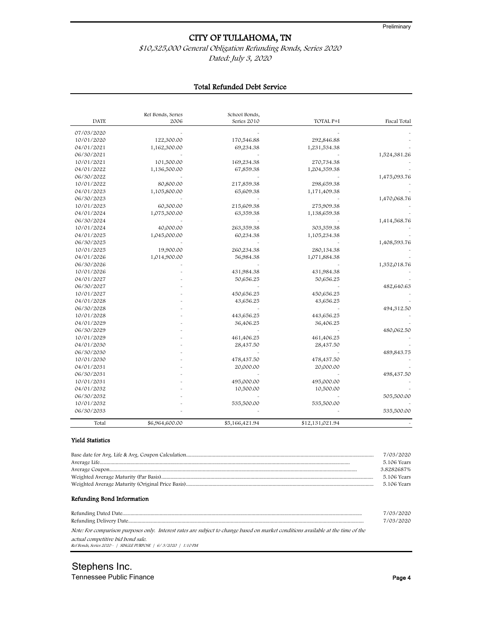## \$10,325,000 General Obligation Refunding Bonds, Series 2020

Dated: July 3, 2020

|  | <b>Total Refunded Debt Service</b> |  |  |
|--|------------------------------------|--|--|
|--|------------------------------------|--|--|

| <b>DATE</b> | Ref Bonds, Series<br>2006 | School Bonds,<br>Series 2010 | TOTAL P+I       | Fiscal Total |
|-------------|---------------------------|------------------------------|-----------------|--------------|
|             |                           |                              |                 |              |
| 07/03/2020  |                           |                              |                 |              |
| 10/01/2020  | 122,300.00                | 170,546.88                   | 292,846.88      |              |
| 04/01/2021  | 1,162,300.00              | 69,234.38                    | 1,231,534.38    |              |
| 06/30/2021  |                           |                              |                 | 1,524,381.26 |
| 10/01/2021  | 101,500.00                | 169,234.38                   | 270,734.38      |              |
| 04/01/2022  | 1,136,500.00              | 67,859.38                    | 1,204,359.38    |              |
| 06/30/2022  |                           |                              |                 | 1,475,093.76 |
| 10/01/2022  | 80,800.00                 | 217,859.38                   | 298,659.38      |              |
| 04/01/2023  | 1,105,800.00              | 65,609.38                    | 1,171,409.38    |              |
| 06/30/2023  |                           |                              |                 | 1,470,068.76 |
| 10/01/2023  | 60,300.00                 | 215,609.38                   | 275,909.38      |              |
| 04/01/2024  | 1,075,300.00              | 63,359.38                    | 1,138,659.38    |              |
| 06/30/2024  |                           |                              |                 | 1,414,568.76 |
| 10/01/2024  | 40,000.00                 | 263,359.38                   | 303,359.38      |              |
| 04/01/2025  | 1,045,000.00              | 60,234.38                    | 1,105,234.38    |              |
| 06/30/2025  |                           |                              |                 | 1,408,593.76 |
| 10/01/2025  | 19,900.00                 | 260,234.38                   | 280,134.38      |              |
| 04/01/2026  | 1,014,900.00              | 56,984.38                    | 1,071,884.38    |              |
| 06/30/2026  |                           |                              |                 | 1,352,018.76 |
| 10/01/2026  |                           | 431,984.38                   | 431,984.38      |              |
| 04/01/2027  |                           | 50,656.25                    | 50,656.25       |              |
| 06/30/2027  |                           |                              |                 | 482,640.63   |
| 10/01/2027  |                           | 450,656.25                   | 450,656.25      |              |
| 04/01/2028  |                           | 43,656.25                    | 43,656.25       |              |
| 06/30/2028  |                           |                              |                 | 494,312.50   |
| 10/01/2028  |                           | 443,656.25                   | 443,656.25      |              |
| 04/01/2029  |                           | 36,406.25                    | 36,406.25       |              |
| 06/30/2029  |                           |                              |                 | 480,062.50   |
| 10/01/2029  |                           | 461,406.25                   | 461,406.25      |              |
| 04/01/2030  |                           | 28,437.50                    | 28,437.50       |              |
| 06/30/2030  |                           |                              |                 | 489,843.75   |
| 10/01/2030  |                           | 478,437.50                   | 478,437.50      |              |
| 04/01/2031  |                           | 20,000.00                    | 20,000.00       |              |
| 06/30/2031  |                           |                              |                 | 498,437.50   |
| 10/01/2031  |                           | 495,000.00                   | 495,000.00      |              |
| 04/01/2032  |                           | 10,500.00                    | 10,500.00       |              |
| 06/30/2032  |                           |                              |                 | 505,500.00   |
| 10/01/2032  |                           |                              |                 |              |
| 06/30/2033  |                           | 535,500.00                   | 535,500.00      |              |
|             |                           |                              |                 | 535,500.00   |
| Total       | \$6,964,600.00            | \$5,166,421.94               | \$12,131,021.94 |              |

#### Yield Statistics

|                                                                                                                                  | 7/03/2020   |
|----------------------------------------------------------------------------------------------------------------------------------|-------------|
|                                                                                                                                  | 5.106 Years |
|                                                                                                                                  | 3.8282687%  |
|                                                                                                                                  | 5.106 Years |
|                                                                                                                                  | 5.106 Years |
| Refunding Bond Information                                                                                                       | 7/03/2020   |
|                                                                                                                                  | 7/03/2020   |
| Note: For comparison purposes only. Interest rates are subject to change based on market conditions available at the time of the |             |
| actual competitive bid bond sale.<br>Ref Bonds, Series 2020 -   SINGLE PURPOSE   6/3/2020   1:10 PM                              |             |

Stephens Inc. Tennessee Public Finance Page 4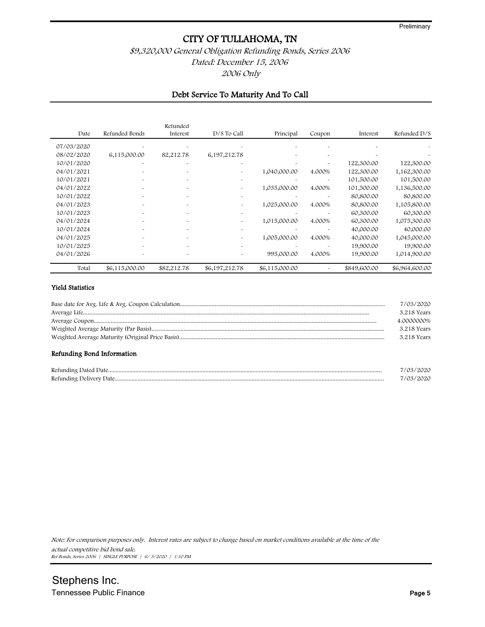## \$9,320,000 General Obligation Refunding Bonds, Series 2006 Dated: December 15, 2006 2006 Only

#### Debt Service To Maturity And To Call

| Date       | Refunded Bonds | Refunded<br>Interest  | $D/S$ To Call         | Principal      | Coupon                | Interest     | Refunded D/S   |
|------------|----------------|-----------------------|-----------------------|----------------|-----------------------|--------------|----------------|
| 07/03/2020 |                |                       |                       |                |                       |              |                |
| 08/02/2020 | 6,115,000.00   | 82,212.78             | 6,197,212.78          |                | ä.                    |              |                |
| 10/01/2020 | ÷              | ٠                     | $\tilde{\phantom{a}}$ |                | $\tilde{\phantom{a}}$ | 122,300.00   | 122,300.00     |
| 04/01/2021 |                | $\sim$                |                       | 1,040,000.00   | 4.000%                | 122,300.00   | 1,162,300.00   |
| 10/01/2021 |                | $\tilde{\phantom{a}}$ | $\tilde{\phantom{a}}$ |                |                       | 101,500.00   | 101,500.00     |
| 04/01/2022 |                | $\sim$                | $\tilde{\phantom{a}}$ | 1,035,000.00   | 4.000%                | 101,500.00   | 1,136,500.00   |
| 10/01/2022 |                | $\tilde{\phantom{a}}$ | $\tilde{\phantom{a}}$ |                |                       | 80,800.00    | 80,800.00      |
| 04/01/2023 |                | $\sim$                |                       | 1,025,000.00   | 4.000%                | 80,800.00    | 1,105,800.00   |
| 10/01/2023 |                | ٠                     | $\tilde{\phantom{a}}$ |                |                       | 60,300.00    | 60,300.00      |
| 04/01/2024 |                | $\sim$                |                       | 1,015,000.00   | 4.000%                | 60,300.00    | 1,075,300.00   |
| 10/01/2024 |                |                       | $\tilde{\phantom{a}}$ |                |                       | 40,000.00    | 40,000.00      |
| 04/01/2025 |                |                       |                       | 1,005,000.00   | 4.000%                | 40,000.00    | 1,045,000.00   |
| 10/01/2025 |                |                       | $\tilde{\phantom{a}}$ |                |                       | 19,900.00    | 19,900.00      |
| 04/01/2026 |                |                       |                       | 995,000.00     | 4.000%                | 19,900.00    | 1,014,900.00   |
| Total      | \$6,115,000.00 | \$82,212.78           | \$6,197,212.78        | \$6,115,000.00 |                       | \$849,600.00 | \$6,964,600.00 |

#### Yield Statistics

| 7/03/2020   |
|-------------|
| 3.218 Years |
| 4.0000000%  |
| 3.218 Years |
| 3.218 Years |

#### Refunding Bond Information

| $\mathbf{r}$ |  |
|--------------|--|
| $\mathbf{r}$ |  |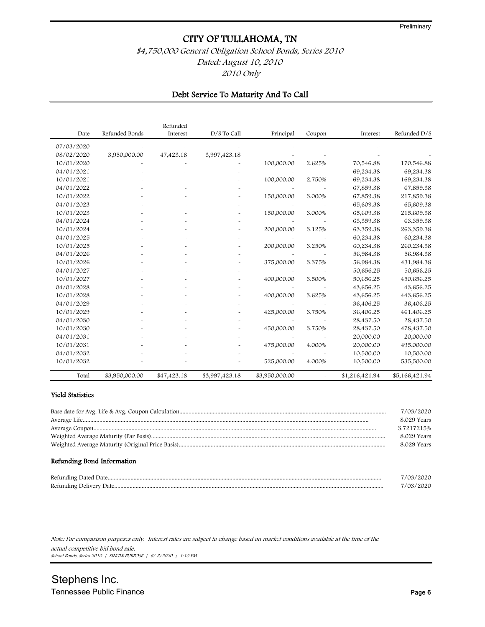## \$4,750,000 General Obligation School Bonds, Series 2010 Dated: August 10, 2010 2010 Only

#### Debt Service To Maturity And To Call

| Date       | Refunded Bonds | Refunded<br>Interest | D/S To Call    | Principal      | Coupon     | Interest       | Refunded D/S   |
|------------|----------------|----------------------|----------------|----------------|------------|----------------|----------------|
| 07/03/2020 |                |                      |                |                |            |                |                |
| 08/02/2020 | 3,950,000.00   | 47,423.18            | 3,997,423.18   |                |            |                |                |
| 10/01/2020 |                |                      |                | 100,000.00     | 2.625%     | 70,546.88      | 170,546.88     |
| 04/01/2021 |                |                      |                |                |            | 69,234.38      | 69,234.38      |
| 10/01/2021 |                |                      |                | 100,000.00     | 2.750%     | 69,234.38      | 169,234.38     |
| 04/01/2022 |                |                      |                |                |            | 67,859.38      | 67,859.38      |
| 10/01/2022 |                |                      |                | 150,000.00     | 3.000%     | 67,859.38      | 217,859.38     |
| 04/01/2023 |                |                      |                |                |            | 65,609.38      | 65,609.38      |
| 10/01/2023 |                |                      |                | 150,000.00     | 3.000%     | 65,609.38      | 215,609.38     |
| 04/01/2024 |                |                      |                |                |            | 63,359.38      | 63,359.38      |
| 10/01/2024 |                |                      |                | 200,000.00     | 3.125%     | 63,359.38      | 263,359.38     |
| 04/01/2025 |                |                      |                |                |            | 60,234.38      | 60,234.38      |
| 10/01/2025 |                |                      |                | 200,000.00     | 3.250%     | 60,234.38      | 260,234.38     |
| 04/01/2026 |                |                      |                |                |            | 56,984.38      | 56,984.38      |
| 10/01/2026 |                |                      |                | 375,000.00     | 3.375%     | 56,984.38      | 431,984.38     |
| 04/01/2027 |                |                      |                |                |            | 50,656.25      | 50,656.25      |
| 10/01/2027 |                |                      |                | 400,000.00     | 3.500%     | 50,656.25      | 450,656.25     |
| 04/01/2028 |                |                      |                |                |            | 43,656.25      | 43,656.25      |
| 10/01/2028 |                |                      |                | 400,000.00     | 3.625%     | 43,656.25      | 443,656.25     |
| 04/01/2029 |                |                      |                |                |            | 36,406.25      | 36,406.25      |
| 10/01/2029 |                |                      |                | 425,000.00     | 3.750%     | 36,406.25      | 461,406.25     |
| 04/01/2030 |                |                      |                |                |            | 28,437.50      | 28,437.50      |
| 10/01/2030 |                |                      |                | 450,000.00     | 3.750%     | 28,437.50      | 478,437.50     |
| 04/01/2031 |                |                      |                |                |            | 20,000.00      | 20,000.00      |
| 10/01/2031 |                |                      |                | 475,000.00     | 4.000%     | 20,000.00      | 495,000.00     |
| 04/01/2032 |                |                      |                |                |            | 10,500.00      | 10,500.00      |
| 10/01/2032 |                |                      |                | 525,000.00     | 4.000%     | 10,500.00      | 535,500.00     |
| Total      | \$3,950,000.00 | \$47,423.18          | \$3,997,423.18 | \$3,950,000.00 | $\ddot{ }$ | \$1,216,421.94 | \$5,166,421.94 |

#### Yield Statistics

| 7/03/2020   |
|-------------|
| 8.029 Years |
| 3.7217215%  |
| 8.029 Years |
| 8.029 Years |

#### Refunding Bond Information

| Refunding<br>≙d Llate |  |
|-----------------------|--|
| Refunding             |  |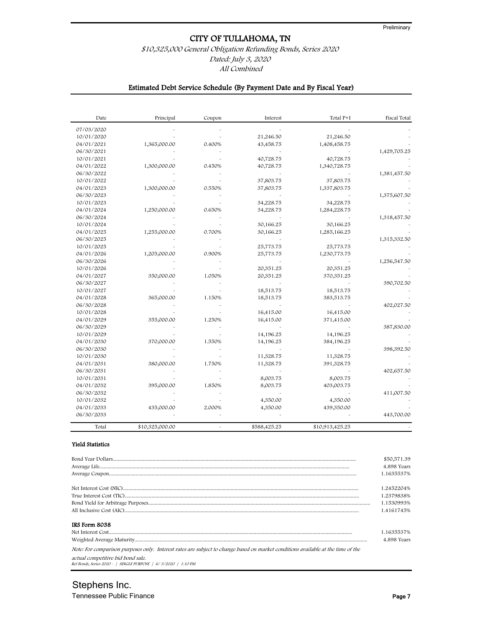## \$10,325,000 General Obligation Refunding Bonds, Series 2020

Dated: July 3, 2020

All Combined

## Estimated Debt Service Schedule (By Payment Date and By Fiscal Year)

| Date       | Principal       | Coupon | Interest     | Total P+I       | Fiscal Total |
|------------|-----------------|--------|--------------|-----------------|--------------|
| 07/03/2020 |                 |        |              |                 |              |
| 10/01/2020 |                 |        | 21,246.50    | 21,246.50       |              |
| 04/01/2021 | 1,365,000.00    | 0.400% | 43,458.75    | 1,408,458.75    |              |
| 06/30/2021 |                 |        |              |                 | 1,429,705.25 |
| 10/01/2021 |                 |        | 40,728.75    | 40,728.75       |              |
| 04/01/2022 | 1,300,000.00    | 0.450% | 40,728.75    | 1,340,728.75    |              |
| 06/30/2022 |                 |        |              |                 | 1,381,457.50 |
| 10/01/2022 |                 |        | 37,803.75    | 37,803.75       |              |
| 04/01/2023 | 1,300,000.00    | 0.550% | 37,803.75    | 1,337,803.75    |              |
| 06/30/2023 |                 |        |              |                 | 1,375,607.50 |
| 10/01/2023 |                 |        | 34,228.75    | 34,228.75       |              |
| 04/01/2024 | 1,250,000.00    | 0.650% | 34,228.75    | 1,284,228.75    |              |
| 06/30/2024 |                 |        |              |                 | 1,318,457.50 |
| 10/01/2024 |                 |        | 30,166.25    | 30,166.25       |              |
| 04/01/2025 | 1,255,000.00    | 0.700% | 30,166.25    | 1,285,166.25    |              |
| 06/30/2025 |                 |        |              |                 | 1,315,332.50 |
| 10/01/2025 |                 |        | 25,773.75    | 25,773.75       |              |
| 04/01/2026 | 1,205,000.00    | 0.900% | 25,773.75    | 1,230,773.75    |              |
| 06/30/2026 |                 |        |              |                 | 1,256,547.50 |
| 10/01/2026 |                 |        | 20,351.25    | 20,351.25       |              |
| 04/01/2027 | 350,000.00      | 1.050% | 20,351.25    | 370,351.25      |              |
| 06/30/2027 |                 |        |              |                 | 390,702.50   |
| 10/01/2027 |                 |        | 18,513.75    | 18,513.75       |              |
| 04/01/2028 | 365,000.00      | 1.150% | 18,513.75    | 383,513.75      |              |
| 06/30/2028 |                 |        |              |                 | 402,027.50   |
| 10/01/2028 |                 |        | 16,415.00    | 16,415.00       |              |
| 04/01/2029 | 355,000.00      | 1.250% | 16,415.00    | 371,415.00      |              |
| 06/30/2029 |                 |        |              |                 | 387,830.00   |
| 10/01/2029 |                 |        | 14,196.25    | 14,196.25       |              |
| 04/01/2030 | 370,000.00      | 1.550% | 14,196.25    | 384,196.25      |              |
| 06/30/2030 |                 |        |              |                 | 398,392.50   |
| 10/01/2030 |                 |        | 11,328.75    |                 |              |
| 04/01/2031 | 380,000.00      | 1.750% |              | 11,328.75       |              |
| 06/30/2031 |                 |        | 11,328.75    | 391,328.75      |              |
|            |                 |        |              |                 | 402,657.50   |
| 10/01/2031 |                 |        | 8,003.75     | 8,003.75        |              |
| 04/01/2032 | 395,000.00      | 1.850% | 8,003.75     | 403,003.75      |              |
| 06/30/2032 |                 |        |              |                 | 411,007.50   |
| 10/01/2032 |                 |        | 4,350.00     | 4,350.00        |              |
| 04/01/2033 | 435,000.00      | 2.000% | 4,350.00     | 439,350.00      |              |
| 06/30/2033 |                 |        |              |                 | 443,700.00   |
| Total      | \$10,325,000.00 |        | \$588,425.25 | \$10,913,425.25 |              |

#### Yield Statistics

|               | \$50,571.39<br>4.898 Years<br>1.1635537% |
|---------------|------------------------------------------|
|               | 1.2452204%                               |
|               | 1.2379838%                               |
|               | 1.1530993%                               |
|               | 1.4161745%                               |
| IRS Form 8038 |                                          |
|               | 1.1635537%                               |
|               | 4.898 Years                              |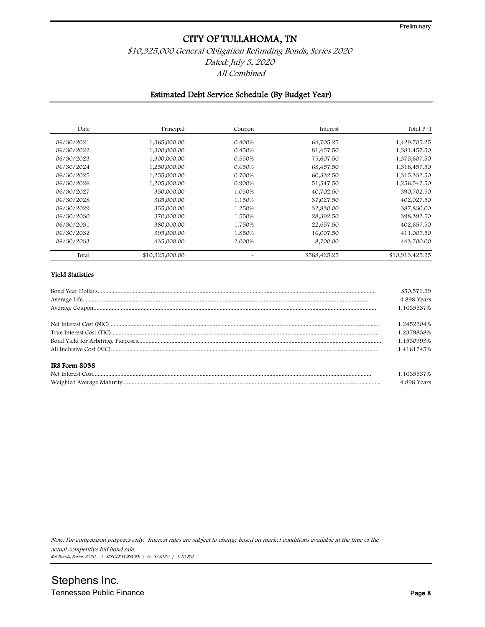## \$10,325,000 General Obligation Refunding Bonds, Series 2020 Dated: July 3, 2020 All Combined

#### Estimated Debt Service Schedule (By Budget Year)

| Date       | Principal       | Coupon | Interest     | Total P+I       |
|------------|-----------------|--------|--------------|-----------------|
| 06/30/2021 | 1,365,000.00    | 0.400% | 64,705.25    | 1,429,705.25    |
| 06/30/2022 | 1,300,000.00    | 0.450% | 81,457.50    | 1,381,457.50    |
| 06/30/2023 | 1,300,000.00    | 0.550% | 75,607.50    | 1,375,607.50    |
| 06/30/2024 | 1,250,000.00    | 0.650% | 68,457.50    | 1,318,457.50    |
| 06/30/2025 | 1,255,000.00    | 0.700% | 60,332.50    | 1,315,332.50    |
| 06/30/2026 | 1,205,000.00    | 0.900% | 51,547.50    | 1,256,547.50    |
| 06/30/2027 | 350,000.00      | 1.050% | 40,702.50    | 390,702.50      |
| 06/30/2028 | 365,000.00      | 1.150% | 37,027.50    | 402,027.50      |
| 06/30/2029 | 355,000.00      | 1.250% | 32,830.00    | 387,830.00      |
| 06/30/2030 | 370,000.00      | 1.550% | 28,392.50    | 398,392.50      |
| 06/30/2031 | 380,000.00      | 1.750% | 22,657.50    | 402,657.50      |
| 06/30/2032 | 395,000.00      | 1.850% | 16,007.50    | 411,007.50      |
| 06/30/2033 | 435,000.00      | 2.000% | 8,700.00     | 443,700.00      |
| Total      | \$10,325,000.00 |        | \$588,425.25 | \$10,913,425.25 |

#### Yield Statistics

|               | \$50,571.39 |
|---------------|-------------|
|               | 4.898 Years |
|               | 1.1635537%  |
|               | 1.2452204%  |
|               | 1.2379838%  |
|               | 1.1530993%  |
|               | 1.4161745%  |
| IRS Form 8038 |             |
|               | 1.1635537%  |
|               | 4.898 Years |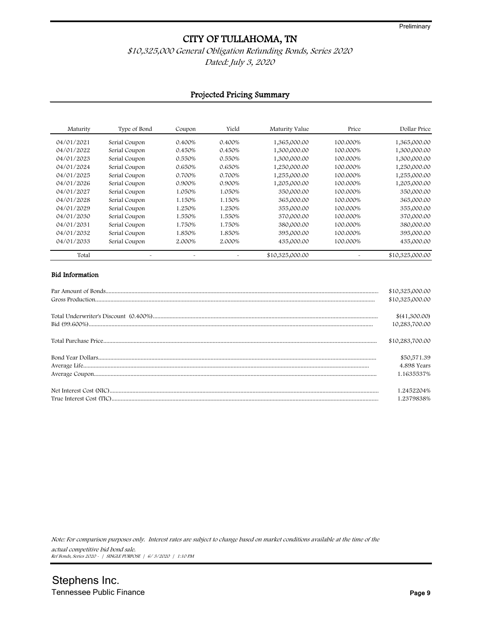## \$10,325,000 General Obligation Refunding Bonds, Series 2020 Dated: July 3, 2020

#### Projected Pricing Summary

| Maturity   | Type of Bond  | Coupon | Yield  | Maturity Value  | Price    | Dollar Price    |
|------------|---------------|--------|--------|-----------------|----------|-----------------|
| 04/01/2021 | Serial Coupon | 0.400% | 0.400% | 1,365,000.00    | 100.000% | 1,365,000.00    |
| 04/01/2022 | Serial Coupon | 0.450% | 0.450% | 1,300,000.00    | 100.000% | 1,300,000.00    |
| 04/01/2023 | Serial Coupon | 0.550% | 0.550% | 1,300,000.00    | 100.000% | 1,300,000.00    |
| 04/01/2024 | Serial Coupon | 0.650% | 0.650% | 1,250,000.00    | 100.000% | 1,250,000.00    |
| 04/01/2025 | Serial Coupon | 0.700% | 0.700% | 1,255,000.00    | 100.000% | 1,255,000.00    |
| 04/01/2026 | Serial Coupon | 0.900% | 0.900% | 1,205,000.00    | 100.000% | 1,205,000.00    |
| 04/01/2027 | Serial Coupon | 1.050% | 1.050% | 350,000.00      | 100.000% | 350,000.00      |
| 04/01/2028 | Serial Coupon | 1.150% | 1.150% | 365,000.00      | 100.000% | 365,000.00      |
| 04/01/2029 | Serial Coupon | 1.250% | 1.250% | 355,000.00      | 100.000% | 355,000.00      |
| 04/01/2030 | Serial Coupon | 1.550% | 1.550% | 370,000.00      | 100.000% | 370,000.00      |
| 04/01/2031 | Serial Coupon | 1.750% | 1.750% | 380,000.00      | 100.000% | 380,000.00      |
| 04/01/2032 | Serial Coupon | 1.850% | 1.850% | 395,000.00      | 100.000% | 395,000.00      |
| 04/01/2033 | Serial Coupon | 2.000% | 2.000% | 435,000.00      | 100.000% | 435,000.00      |
| Total      |               |        |        | \$10,325,000.00 |          | \$10,325,000.00 |

#### Bid Information

| \$10,325,000.00 |
|-----------------|
| \$10,325,000.00 |
|                 |
| \$(41,300.00)   |
| 10,283,700.00   |
| \$10,283,700.00 |
| \$50,571.39     |
| 4.898 Years     |
| 1.1635537%      |
| 1.2452204%      |
| .2379838%       |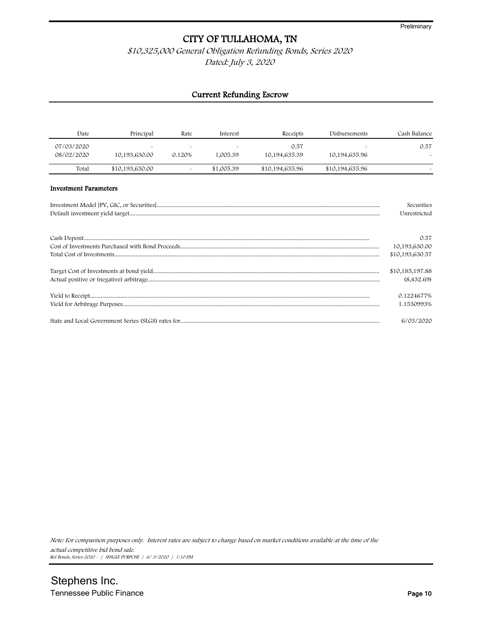## \$10,325,000 General Obligation Refunding Bonds, Series 2020 Dated: July 3, 2020

## Current Refunding Escrow

| Date                         | Principal       | Rate                  | Interest   | Receipts        | Disbursements   | Cash Balance    |
|------------------------------|-----------------|-----------------------|------------|-----------------|-----------------|-----------------|
| 07/03/2020                   |                 |                       |            | 0.57            |                 | 0.57            |
| 08/02/2020                   | 10,193,630.00   | 0.120%                | 1,005.39   | 10,194,635.39   | 10,194,635.96   |                 |
| Total                        | \$10,193,630.00 | $\tilde{\phantom{a}}$ | \$1,005.39 | \$10,194,635.96 | \$10,194,635.96 |                 |
| <b>Investment Parameters</b> |                 |                       |            |                 |                 |                 |
|                              |                 |                       |            |                 |                 | Securities      |
|                              |                 |                       |            |                 |                 | Unrestricted    |
|                              |                 |                       |            |                 |                 |                 |
|                              |                 |                       |            |                 |                 | 0.57            |
|                              |                 |                       |            |                 |                 | 10,193,630.00   |
|                              |                 |                       |            |                 |                 | \$10,193,630.57 |
|                              |                 |                       |            |                 |                 | \$10,185,197.88 |
|                              |                 |                       |            |                 |                 | (8,432.69)      |
|                              |                 |                       |            |                 |                 | 0.1224677%      |
|                              |                 |                       |            |                 |                 | 1.1530993%      |
|                              |                 |                       |            |                 |                 | 6/03/2020       |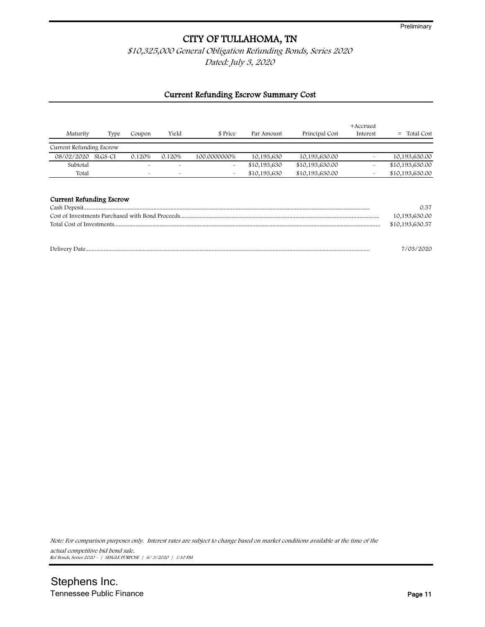\$10,325,000 General Obligation Refunding Bonds, Series 2020

Dated: July 3, 2020

#### Current Refunding Escrow Summary Cost

| Maturity                        | Type    | Coupon   | Yield                 | \$ Price     | Par Amount   | Principal Cost  | +Accrued<br>Interest | Total Cost            |
|---------------------------------|---------|----------|-----------------------|--------------|--------------|-----------------|----------------------|-----------------------|
| Current Refunding Escrow        |         |          |                       |              |              |                 |                      |                       |
| 08/02/2020                      | SLGS-CI | 0.120%   | 0.120%                | 100.0000000% | 10,193,630   | 10,193,630.00   |                      | 10,193,630.00         |
| Subtotal                        |         |          | $\tilde{\phantom{a}}$ |              | \$10,193,630 | \$10,193,630.00 |                      | \$10,193,630.00       |
| Total                           |         | <b>A</b> | $\sim$                |              | \$10,193,630 | \$10,193,630.00 |                      | \$10,193,630.00       |
| <b>Current Refunding Escrow</b> |         |          |                       |              |              |                 |                      | 0.57<br>10,193,630.00 |
|                                 |         |          |                       |              |              |                 |                      | \$10,193,630.57       |
|                                 |         |          |                       |              |              |                 |                      | 7/03/2020             |

Note: For comparison purposes only. Interest rates are subject to change based on market conditions available at the time of the

actual competitive bid bond sale. Ref Bonds, Series 2020 - | SINGLE PURPOSE | 6/ 3/2020 | 1:10 PM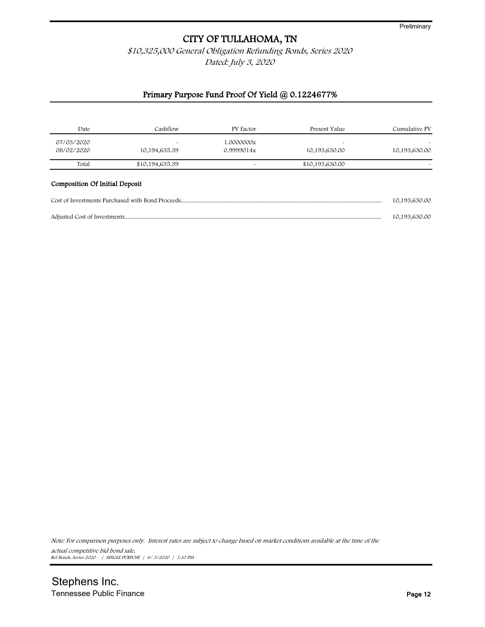\$10,325,000 General Obligation Refunding Bonds, Series 2020 Dated: July 3, 2020

## Primary Purpose Fund Proof Of Yield @ 0.1224677%

| Date                           | Cashflow        | PV Factor  | Present Value   | Cumulative PV |
|--------------------------------|-----------------|------------|-----------------|---------------|
| 07/03/2020                     | ٠               | 1.0000000x | <b>A</b>        |               |
| 08/02/2020                     | 10,194,635.39   | 0.9999014x | 10,193,630.00   | 10,193,630.00 |
| Total                          | \$10,194,635.39 |            | \$10,193,630.00 |               |
| Composition Of Initial Deposit |                 |            |                 |               |
|                                |                 |            |                 | 10,193,630.00 |
|                                |                 |            |                 | 10,193,630.00 |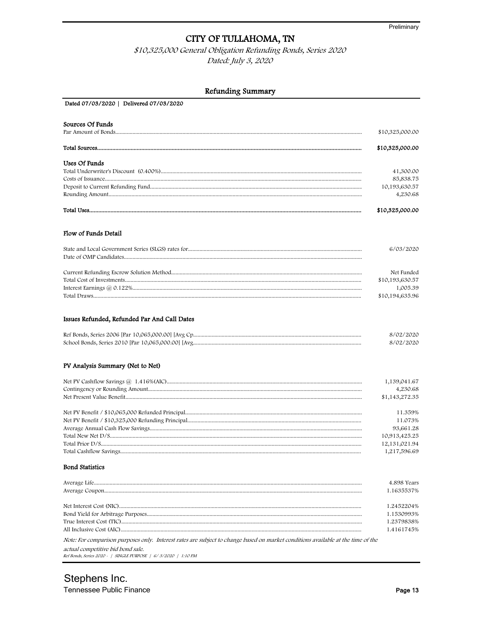\$10,325,000 General Obligation Refunding Bonds, Series 2020 Dated: July 3, 2020

| Refunding Summary                            |                                                                                      |
|----------------------------------------------|--------------------------------------------------------------------------------------|
| Dated 07/03/2020   Delivered 07/03/2020      |                                                                                      |
| Sources Of Funds                             | \$10,325,000.00                                                                      |
|                                              | \$10,325,000.00                                                                      |
| Uses Of Funds                                | 41,300.00<br>85,838.75<br>10,193,630.57<br>4,230.68                                  |
|                                              | \$10,325,000.00                                                                      |
| Flow of Funds Detail                         |                                                                                      |
|                                              | 6/03/2020                                                                            |
|                                              | Net Funded<br>\$10,193,630.57<br>1,005.39<br>\$10,194,635.96                         |
| Issues Refunded, Refunded Par And Call Dates | 8/02/2020<br>8/02/2020                                                               |
| PV Analysis Summary (Net to Net)             | 1,139,041.67<br>4,230.68<br>\$1,143,272.35                                           |
|                                              | 11.359%<br>11.073%<br>93,661.28<br>10,913,425.25<br>12, 131, 021. 94<br>1,217,596.69 |
| <b>Bond Statistics</b>                       | 4.898 Years<br>1.1635537%                                                            |
| a an                                         | 1.2452204%<br>1.1530993%<br>1.2379838%<br>1.4161745%                                 |

Note: For comparison purposes only. Interest rates are subject to change based on market conditions available at the time of the

actual competitive bid bond sale. Ref Bonds, Series 2020 - | SINGLE PURPOSE | 6/3/2020 | 1:10 PM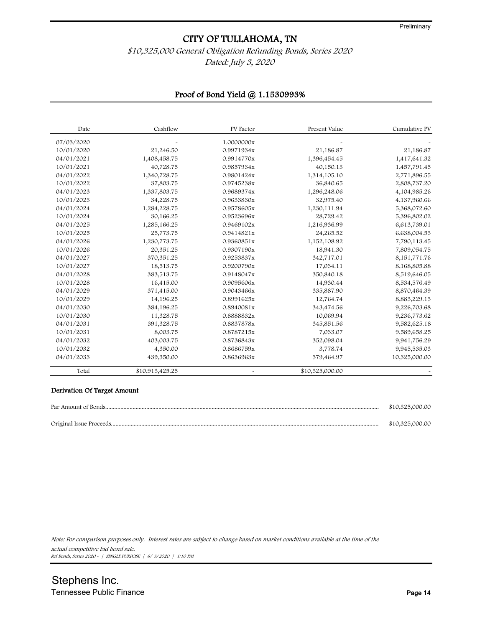## \$10,325,000 General Obligation Refunding Bonds, Series 2020 Dated: July 3, 2020

## Proof of Bond Yield @ 1.1530993%

| Date       | Cashflow        | PV Factor  | Present Value   | Cumulative PV |
|------------|-----------------|------------|-----------------|---------------|
| 07/03/2020 |                 | 1.0000000x |                 |               |
| 10/01/2020 | 21,246.50       | 0.9971934x | 21,186.87       | 21,186.87     |
| 04/01/2021 | 1,408,458.75    | 0.9914770x | 1,396,454.45    | 1,417,641.32  |
| 10/01/2021 | 40,728.75       | 0.9857934x | 40,150.13       | 1,457,791.45  |
| 04/01/2022 | 1,340,728.75    | 0.9801424x | 1,314,105.10    | 2,771,896.55  |
| 10/01/2022 | 37,803.75       | 0.9745238x | 36,840.65       | 2,808,737.20  |
| 04/01/2023 | 1,337,803.75    | 0.9689374x | 1,296,248.06    | 4,104,985.26  |
| 10/01/2023 | 34,228.75       | 0.9633830x | 32,975.40       | 4,137,960.66  |
| 04/01/2024 | 1,284,228.75    | 0.9578605x | 1,230,111.94    | 5,368,072.60  |
| 10/01/2024 | 30,166.25       | 0.9523696x | 28,729.42       | 5,396,802.02  |
| 04/01/2025 | 1,285,166.25    | 0.9469102x | 1,216,936.99    | 6,613,739.01  |
| 10/01/2025 | 25,773.75       | 0.9414821x | 24,265.52       | 6,638,004.53  |
| 04/01/2026 | 1,230,773.75    | 0.9360851x | 1,152,108.92    | 7,790,113.45  |
| 10/01/2026 | 20,351.25       | 0.9307190x | 18,941.30       | 7,809,054.75  |
| 04/01/2027 | 370,351.25      | 0.9253837x | 342,717.01      | 8,151,771.76  |
| 10/01/2027 | 18,513.75       | 0.9200790x | 17,034.11       | 8,168,805.88  |
| 04/01/2028 | 383,513.75      | 0.9148047x | 350,840.18      | 8,519,646.05  |
| 10/01/2028 | 16,415.00       | 0.9095606x | 14,930.44       | 8,534,576.49  |
| 04/01/2029 | 371,415.00      | 0.9043466x | 335,887.90      | 8,870,464.39  |
| 10/01/2029 | 14,196.25       | 0.8991625x | 12,764.74       | 8,883,229.13  |
| 04/01/2030 | 384,196.25      | 0.8940081x | 343,474.56      | 9,226,703.68  |
| 10/01/2030 | 11,328.75       | 0.8888832x | 10,069.94       | 9,236,773.62  |
| 04/01/2031 | 391,328.75      | 0.8837878x | 345,851.56      | 9,582,625.18  |
| 10/01/2031 | 8,003.75        | 0.8787215x | 7,033.07        | 9,589,658.25  |
| 04/01/2032 | 403,003.75      | 0.8736843x | 352,098.04      | 9,941,756.29  |
| 10/01/2032 | 4,350.00        | 0.8686759x | 3,778.74        | 9,945,535.03  |
| 04/01/2033 | 439,350.00      | 0.8636963x | 379,464.97      | 10,325,000.00 |
| Total      | \$10,913,425.25 |            | \$10,325,000.00 |               |

#### Derivation Of Target Amount

| \$10,325,000.00 |
|-----------------|
| \$10,325,000.00 |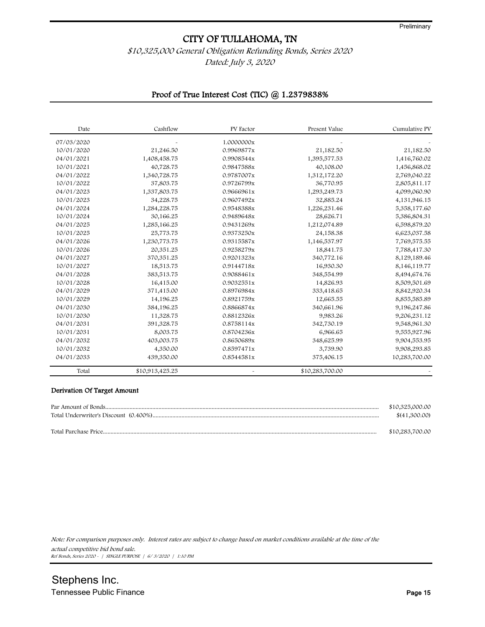## \$10,325,000 General Obligation Refunding Bonds, Series 2020 Dated: July 3, 2020

#### Proof of True Interest Cost (TIC) @ 1.2379838%

| Date       | Cashflow        | PV Factor  | Present Value   | Cumulative PV |
|------------|-----------------|------------|-----------------|---------------|
| 07/03/2020 |                 | 1.0000000x |                 |               |
| 10/01/2020 | 21,246.50       | 0.9969877x | 21,182.50       | 21,182.50     |
| 04/01/2021 | 1,408,458.75    | 0.9908544x | 1,395,577.53    | 1,416,760.02  |
| 10/01/2021 | 40,728.75       | 0.9847588x | 40,108.00       | 1,456,868.02  |
| 04/01/2022 | 1,340,728.75    | 0.9787007x | 1,312,172.20    | 2,769,040.22  |
| 10/01/2022 | 37,803.75       | 0.9726799x | 36,770.95       | 2,805,811.17  |
| 04/01/2023 | 1,337,803.75    | 0.9666961x | 1,293,249.73    | 4,099,060.90  |
| 10/01/2023 | 34,228.75       | 0.9607492x | 32,885.24       | 4,131,946.15  |
| 04/01/2024 | 1,284,228.75    | 0.9548388x | 1,226,231.46    | 5,358,177.60  |
| 10/01/2024 | 30,166.25       | 0.9489648x | 28,626.71       | 5,386,804.31  |
| 04/01/2025 | 1,285,166.25    | 0.9431269x | 1,212,074.89    | 6,598,879.20  |
| 10/01/2025 | 25,773.75       | 0.9373250x | 24,158.38       | 6,623,037.58  |
| 04/01/2026 | 1,230,773.75    | 0.9315587x | 1,146,537.97    | 7,769,575.55  |
| 10/01/2026 | 20,351.25       | 0.9258279x | 18,841.75       | 7,788,417.30  |
| 04/01/2027 | 370,351.25      | 0.9201323x | 340,772.16      | 8,129,189.46  |
| 10/01/2027 | 18,513.75       | 0.9144718x | 16,930.30       | 8,146,119.77  |
| 04/01/2028 | 383,513.75      | 0.9088461x | 348,554.99      | 8,494,674.76  |
| 10/01/2028 | 16,415.00       | 0.9032551x | 14,826.93       | 8,509,501.69  |
| 04/01/2029 | 371,415.00      | 0.8976984x | 333,418.65      | 8,842,920.34  |
| 10/01/2029 | 14,196.25       | 0.8921759x | 12,665.55       | 8,855,585.89  |
| 04/01/2030 | 384,196.25      | 0.8866874x | 340,661.96      | 9,196,247.86  |
| 10/01/2030 | 11,328.75       | 0.8812326x | 9,983.26        | 9,206,231.12  |
| 04/01/2031 | 391,328.75      | 0.8758114x | 342,730.19      | 9,548,961.30  |
| 10/01/2031 | 8,003.75        | 0.8704236x | 6,966.65        | 9,555,927.96  |
| 04/01/2032 | 403,003.75      | 0.8650689x | 348,625.99      | 9,904,553.95  |
| 10/01/2032 | 4,350.00        | 0.8597471x | 3,739.90        | 9,908,293.85  |
| 04/01/2033 | 439,350.00      | 0.8544581x | 375,406.15      | 10,283,700.00 |
| Total      | \$10,913,425.25 |            | \$10,283,700.00 |               |

#### Derivation Of Target Amount

|                      | \$10,325,000.00 |
|----------------------|-----------------|
|                      | \$(41,300.00)   |
| Total Purchase Price | \$10,283,700.00 |

Note: For comparison purposes only. Interest rates are subject to change based on market conditions available at the time of the

actual competitive bid bond sale. Ref Bonds, Series 2020 - | SINGLE PURPOSE | 6/ 3/2020 | 1:10 PM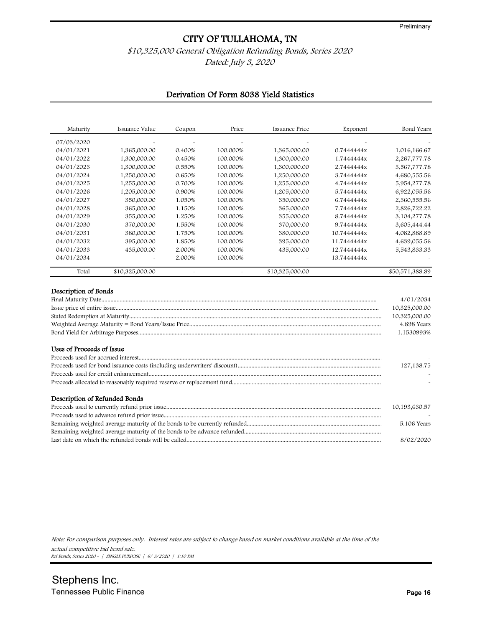## \$10,325,000 General Obligation Refunding Bonds, Series 2020

Dated: July 3, 2020

## Derivation Of Form 8038 Yield Statistics

| Maturity                                          | Issuance Value  | Coupon | Price                 | Issuance Price  | Exponent    | Bond Years                                                               |
|---------------------------------------------------|-----------------|--------|-----------------------|-----------------|-------------|--------------------------------------------------------------------------|
| 07/03/2020                                        |                 |        |                       |                 |             |                                                                          |
| 04/01/2021                                        | 1,365,000.00    | 0.400% | 100.000%              | 1,365,000.00    | 0.7444444x  | 1,016,166.67                                                             |
| 04/01/2022                                        | 1,300,000.00    | 0.450% | 100.000%              | 1,300,000.00    | 1.7444444x  | 2,267,777.78                                                             |
| 04/01/2023                                        | 1,300,000.00    | 0.550% | 100.000%              | 1,300,000.00    | 2.7444444x  | 3,567,777.78                                                             |
| 04/01/2024                                        | 1,250,000.00    | 0.650% | 100.000%              | 1,250,000.00    | 3.7444444x  | 4,680,555.56                                                             |
| 04/01/2025                                        | 1,255,000.00    | 0.700% | 100.000%              | 1,255,000.00    | 4.7444444x  | 5,954,277.78                                                             |
| 04/01/2026                                        | 1,205,000.00    | 0.900% | 100.000%              | 1,205,000.00    | 5.7444444x  | 6,922,055.56                                                             |
| 04/01/2027                                        | 350,000.00      | 1.050% | 100.000%              | 350,000.00      | 6.7444444x  | 2,360,555.56                                                             |
| 04/01/2028                                        | 365,000.00      | 1.150% | 100.000%              | 365,000.00      | 7.7444444x  | 2,826,722.22                                                             |
| 04/01/2029                                        | 355,000.00      | 1.250% | 100.000%              | 355,000.00      | 8.7444444x  | 3,104,277.78                                                             |
| 04/01/2030                                        | 370,000.00      | 1.550% | 100.000%              | 370,000.00      | 9.7444444x  | 3,605,444.44                                                             |
| 04/01/2031                                        | 380,000.00      | 1.750% | 100.000%              | 380,000.00      | 10.7444444x | 4,082,888.89                                                             |
| 04/01/2032                                        | 395,000.00      | 1.850% | 100.000%              | 395,000.00      | 11.7444444x | 4,639,055.56                                                             |
| 04/01/2033                                        | 435,000.00      | 2.000% | 100.000%              | 435,000.00      | 12.7444444x | 5,543,833.33                                                             |
| 04/01/2034                                        |                 | 2.000% | 100.000%              |                 | 13.7444444x |                                                                          |
| Total                                             | \$10,325,000.00 |        | $\tilde{\phantom{a}}$ | \$10,325,000.00 |             | \$50,571,388.89                                                          |
| Description of Bonds<br>Uses of Proceeds of Issue |                 |        |                       |                 |             | 4/01/2034<br>10,325,000.00<br>10,325,000.00<br>4.898 Years<br>1.1530993% |

|                               | 127, 138. 75  |
|-------------------------------|---------------|
|                               |               |
|                               |               |
| Description of Refunded Bonds |               |
|                               | 10,193,630.57 |
|                               |               |
|                               | 5.106 Years   |
|                               |               |

Last date on which the refunded bonds will be called................................................................................................................................ 8/02/2020

Note: For comparison purposes only. Interest rates are subject to change based on market conditions available at the time of the actual competitive bid bond sale.

Ref Bonds, Series 2020 - | SINGLE PURPOSE | 6/ 3/2020 | 1:10 PM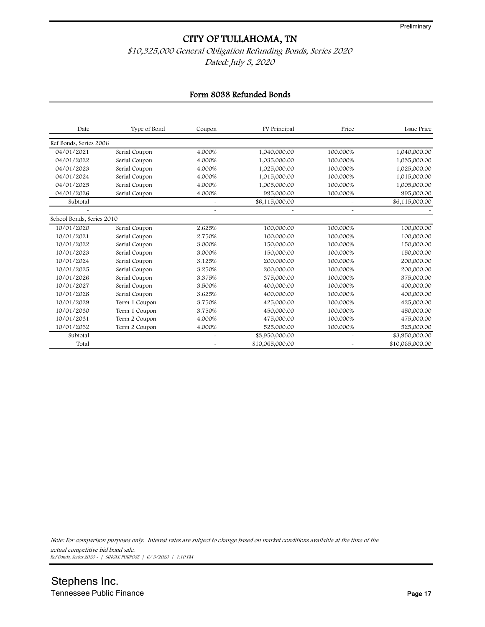## \$10,325,000 General Obligation Refunding Bonds, Series 2020 Dated: July 3, 2020

## Form 8038 Refunded Bonds

| <b>Issue Price</b> | Price                 | FV Principal    | Coupon                | Type of Bond  | Date                      |
|--------------------|-----------------------|-----------------|-----------------------|---------------|---------------------------|
|                    |                       |                 |                       |               | Ref Bonds, Series 2006    |
| 1,040,000.00       | 100.000%              | 1,040,000.00    | 4.000%                | Serial Coupon | 04/01/2021                |
| 1,035,000.00       | 100.000%              | 1,035,000.00    | 4.000%                | Serial Coupon | 04/01/2022                |
| 1,025,000.00       | 100.000%              | 1,025,000.00    | 4.000%                | Serial Coupon | 04/01/2023                |
| 1,015,000.00       | 100.000%              | 1,015,000.00    | 4.000%                | Serial Coupon | 04/01/2024                |
| 1,005,000.00       | 100.000%              | 1,005,000.00    | 4.000%                | Serial Coupon | 04/01/2025                |
| 995,000.00         | 100.000%              | 995,000.00      | 4.000%                | Serial Coupon | 04/01/2026                |
| \$6,115,000.00     | $\tilde{\phantom{a}}$ | \$6,115,000.00  | $\tilde{\phantom{a}}$ |               | Subtotal                  |
|                    |                       |                 |                       |               |                           |
|                    |                       |                 |                       |               | School Bonds, Series 2010 |
| 100,000.00         | 100.000%              | 100,000.00      | 2.625%                | Serial Coupon | 10/01/2020                |
| 100,000.00         | 100.000%              | 100,000.00      | 2.750%                | Serial Coupon | 10/01/2021                |
| 150,000.00         | 100.000%              | 150,000.00      | 3.000%                | Serial Coupon | 10/01/2022                |
| 150,000.00         | 100.000%              | 150,000.00      | 3.000%                | Serial Coupon | 10/01/2023                |
| 200,000.00         | 100.000%              | 200,000.00      | 3.125%                | Serial Coupon | 10/01/2024                |
| 200,000.00         | 100.000%              | 200,000.00      | 3.250%                | Serial Coupon | 10/01/2025                |
| 375,000.00         | 100.000%              | 375,000.00      | 3.375%                | Serial Coupon | 10/01/2026                |
| 400,000.00         | 100.000%              | 400,000.00      | 3.500%                | Serial Coupon | 10/01/2027                |
| 400,000.00         | 100.000%              | 400,000.00      | 3.625%                | Serial Coupon | 10/01/2028                |
| 425,000.00         | 100.000%              | 425,000.00      | 3.750%                | Term 1 Coupon | 10/01/2029                |
| 450,000.00         | 100.000%              | 450,000.00      | 3.750%                | Term 1 Coupon | 10/01/2030                |
| 475,000.00         | 100.000%              | 475,000.00      | 4.000%                | Term 2 Coupon | 10/01/2031                |
| 525,000.00         | 100.000%              | 525,000.00      | 4.000%                | Term 2 Coupon | 10/01/2032                |
| \$3,950,000.00     | $\sim$                | \$3,950,000.00  |                       |               | Subtotal                  |
| \$10,065,000.00    |                       | \$10,065,000.00 |                       |               | Total                     |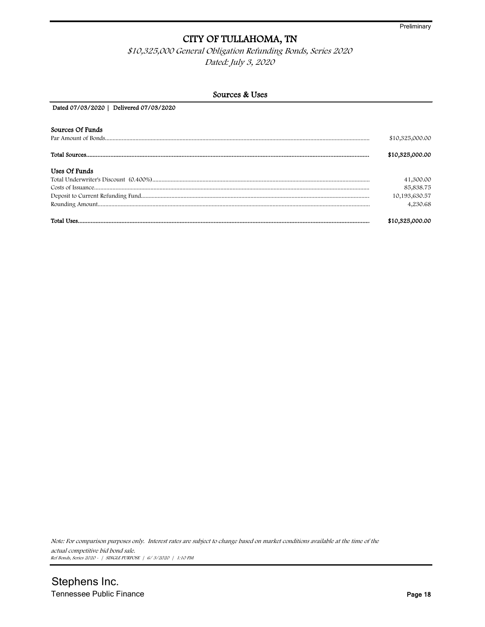\$10,325,000 General Obligation Refunding Bonds, Series 2020 Dated: July 3, 2020

| Sources & Uses                          |                 |  |  |  |
|-----------------------------------------|-----------------|--|--|--|
| Dated 07/03/2020   Delivered 07/03/2020 |                 |  |  |  |
| Sources Of Funds                        |                 |  |  |  |
|                                         | \$10,325,000.00 |  |  |  |
|                                         | \$10,325,000.00 |  |  |  |
| Uses Of Funds                           |                 |  |  |  |
|                                         | 41,300.00       |  |  |  |
|                                         | 85,838.75       |  |  |  |
|                                         | 10,193,630.57   |  |  |  |
|                                         | 4,230.68        |  |  |  |
|                                         | \$10,325,000.00 |  |  |  |

Note: For comparison purposes only. Interest rates are subject to change based on market conditions available at the time of the actual competitive bid bond sale.

Ref Bonds, Series 2020 - | SINGLE PURPOSE | 6/ 3/2020 | 1:10 PM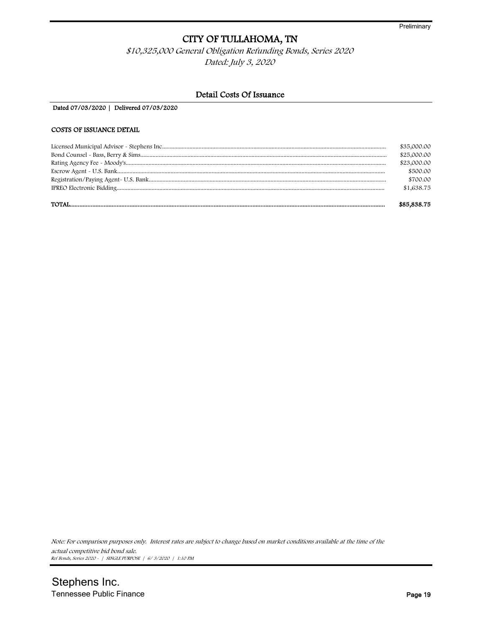\$10,325,000 General Obligation Refunding Bonds, Series 2020 Dated: July 3, 2020

#### Detail Costs Of Issuance

Dated 07/03/2020 | Delivered 07/03/2020

#### COSTS OF ISSUANCE DETAIL

| \$85,838.75 |
|-------------|
| \$1,638.75  |
| \$700.00    |
| \$500.00    |
| \$23,000.00 |
| \$25,000.00 |
| \$35,000.00 |
|             |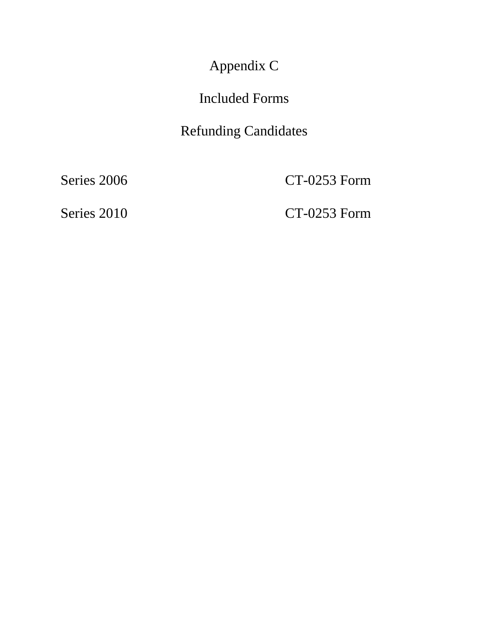Appendix C

# Included Forms

# Refunding Candidates

Series 2006 CT-0253 Form

Series 2010 CT-0253 Form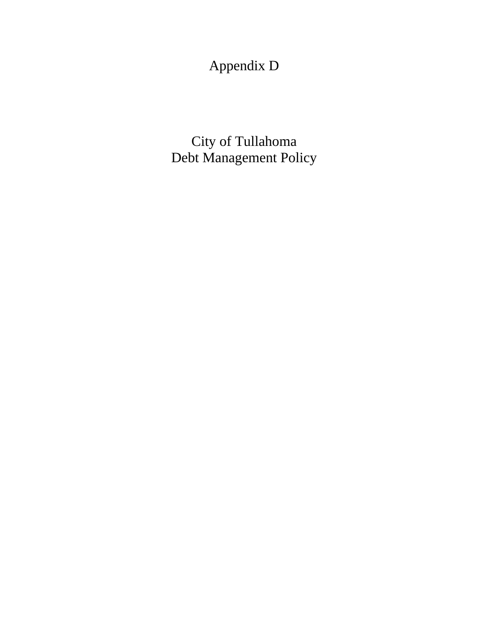Appendix D

City of Tullahoma Debt Management Policy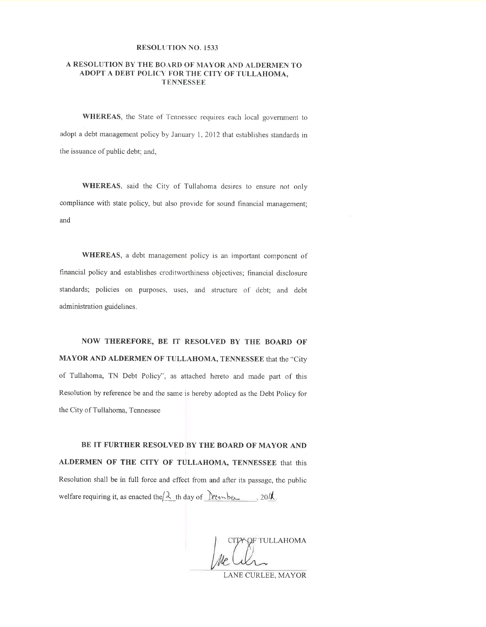#### RESOLUTION NO. 1533

#### A RESOLUTION BY THE BOARD OF MAYOR AND ALDERMEN TO ADOPT A DEBT POLICY FOR THE CITY OF TULLAHOMA, **TENNESSEE**

WHEREAS, the State of Tennessec requires each local government to adopt a debt management policy by January \,2012 that establishes standards in the issuance of public debt; and,

WHEREAS, said the City of Tullahoma desires to ensure not only compliance with state policy, but also provide for sound financial management; and

WHEREAS, a debt management policy is an important component of financial policy and establishes crcditworlhiness objectives; financial disclosure standards; policies on purposes, uses, and structure of debt; and debt administration guidelines.

NOW THEREFORE, BE IT RESOLVED BY THE BOARD OF MAYORAND ALDERMEN OF TULLAHOMA, TENNESSEE that the "City of Tullahoma, TN Debt Policy", as attached hereto and made part of this Resolution by reference be and the same is hereby adopted as the Debt Policy for the City of Tullahoma, Tennessee

BE IT FURTHER RESOLVED BY THE BOARD OF MAYOR AND ALDERMEN OF THE CITY OF TULLAHOMA, TENNESSEE that this Resolution shall be in full force and effect from and after its passage, the public welfare requiring it, as enacted the  $\lambda$  th day of let  $\ell$ -Le, 20ll,

CITY OF TULLAHOMA

LANE CURLEE. MAYOR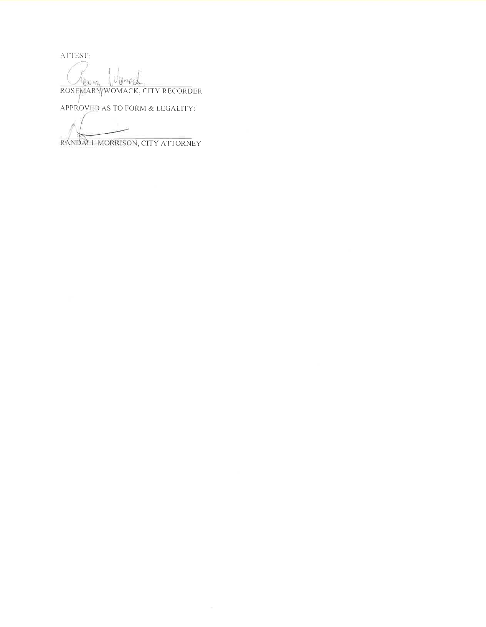ATTEST:

Vanach ROSEMARYWOMACK, CITY RECORDER

APPROVED AS TO FORM & LEGALITY

RANDALL MORRISON, CITY ATTORNEY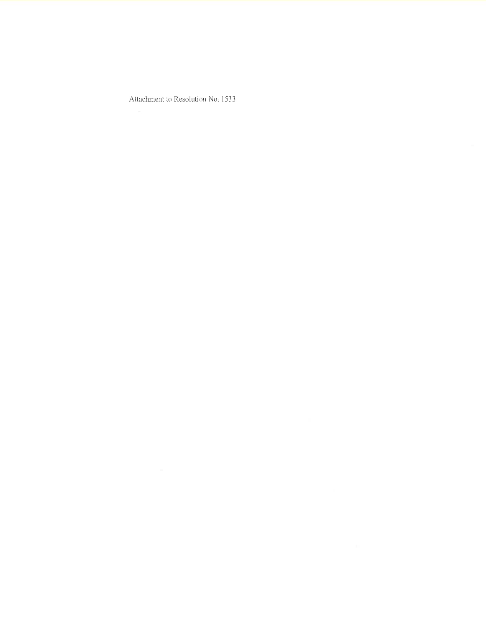Attachment to Resolution No. 1533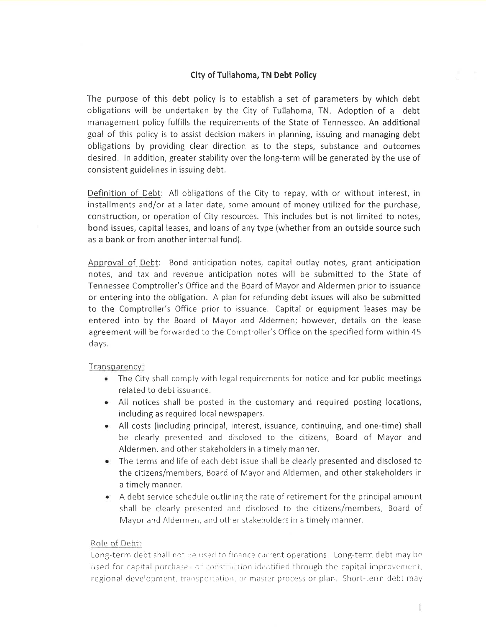## City of Tullahoma, TN Debt Policy

The purpose of this debt policy is to establish a set of parameters by which debt obligations will be undertaken by the City of Tullahoma, TN. Adoption of a debt management policy fulfills the requirements of the State of Tennessee. An additional goal of this policy is to assist decision makers in planning, issuing and managing debt obligations by providing clear direction as to the steps, substance and outcomes desired. ln addition, greater stability over the long-term will be generated by the use of consistent guidelines in issuing debt.

Definition of Debt: All obligations of the City to repay, with or without interest, in installments and/or at a later date, some amount of money utilized for the purchase, construction, or operation of City resources. This includes but is not limited to notes, bond issues, capital leases, and loans of any type (whether from an outside source such as a bank or from another internal fund).

Approval of Debt: Bond anticipation notes, capital outlay notes, grant anticipation notes, and tax and revenue anticipation notes will be submitted to the State of Tennessee Comptroller's Office and the Board of Mayor and Aldermen prior to issuance or entering into the obligation. A plan for refunding debt issues will also be submitted to the Comptroller's Office prior to issuance. Capital or equipment leases may be entered into by the Board of Mayor and Aldermen; however, details on the lease agreement will be forwarded to the Comptroller's Office on the specified form within 45 d ays.

#### Transparency:

- The City shall comply with legal requirements for notice and for public meetings related to debt issuance.
- All notices shall be posted in the customary and required posting locations, including as required local newspapers.
- All costs (including principal, interest, issuance, continuing, and one-time) shall be clearly presented and disclosed to the citizens, Board of Mayor and Aldermen, and other stakeholders in a timely manner.
- The terms and life of each debt issue shall be clearly presented and disclosed to the citizens/members, Board of Mayor and Aldermen, and other stakeholders in a timely manner.
- A debt service schedule outlining the rate of retirement for the principal amount shall be clearly presented and disclosed to the citizens/members, Board of Mayor and Aldermen, and other stakeholders in a timely manner,

#### Role of Debt:

Long-term debt shall not be used to finance current operations. Long-term debt may be used for capital purchase - or construction identified through the capital improvement, regional development, transportation, or master process or plan Short-term debt may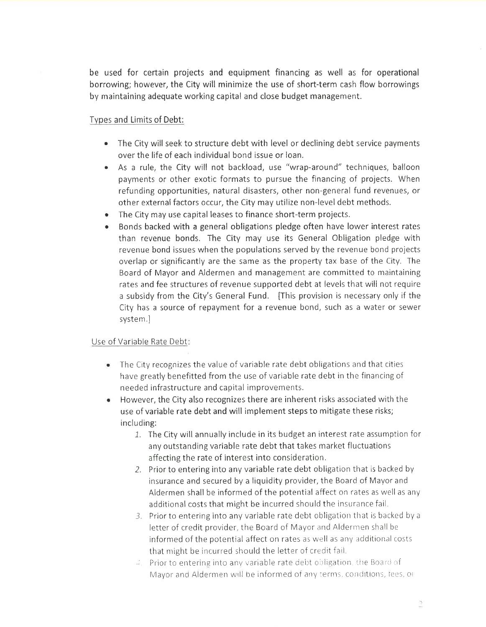be used for certain projects and equipment financing as well as for operational borrowing; however, the City will minimize the use of short-term cash flow borrowings by maintaining adequate working capital and close budget management.

### Tvpes and Limits of Debt:

- The City will seek to structure debt with level or declining debt service payments over the life of each individual bond issue or loan.
- As a rule, the City will not backload, use "wrap-around" techniques, balloon payments or other exotic formats to pursue the financing of projects. When refunding opportunities, natural disasters, other non-general fund revenues, or other external factors occur, the City may utilize non-level debt methods.
- The City may use capital leases to finance short-term projects.
- Bonds backed with a general obligations pledge often have lower interest rates than revenue bonds. The City may use its General Obligation pledge with revenue bond issues when the populations served by the revenue bond projects overlap or significantly are the same as the property tax base of the City. The Board of Mayor and Aldermen and management are commrtted to maintaining rates and fee structures of revenue supported debt at levels that will not require a subsidy from the City's General Fund. [This provision is necessary only if the City has a source of repayment for a revenue bond, such as a water or sewer system.]

### Use of Variable Rate Debt:

- The City recognizes the value of variable rate debt obligations and that cities have greatly benefitted from the use of variable rate debt in the financing of needed infrastructure and capital improvements.
- However, the City also recognizes there are inherent risks associated with the use of variable rate debt and will implement steps to mitigate these risks; including:
	- 1. The City will annually include in its budget an interest rate assumption for any outstanding variable rate debt that takes market fluctuations affecting the rate of interest into consideration.
	- 2. Prior to entering into any variable rate debt obligation that is backed by insurance and secured by a liquidity provider, the Board of Mayor and Aldermen shall be informed of the potential affect on rates as well as any additional costs that might be incurred should the insurance fail
	- $3<sub>1</sub>$  Prior to entering into any variable rate debt obligation that is backed by a letter of credit provider, the Board of Mayor and Aldermen shall be informed of the potential affect on rates as well as any additional costs that might be incurred should the letter of credit fail.
	- $\Box$ . Prior to entering into any variable rate debt obligation, the Board of Mayor and Aldermen will be informed of any terms, conditions, lees, or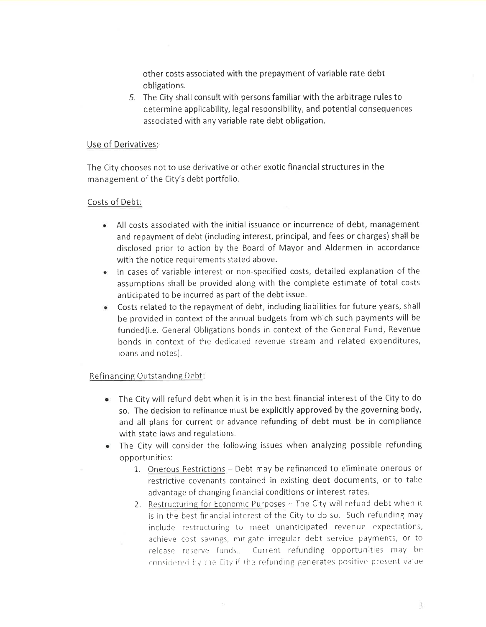other costs associated with the prepayment of variable rate debt obligations.

5. The City shall consult with persons familiar with the arbitrage rules to determine applicability, legal responsibility, and potential consequences associated with any variable rate debt obligation.

#### Use of Derivatives

The City chooses not to use derivative or other exotic financial structures in the management of the City's debt portfolio.

#### Costs of Debt:

- All costs associated with the initial issuance or incurrence of debt, management and repayment of debt (including interest, principal, and fees or charges) shall be disclosed prior to action by the Board of Mayor and Aldermen in accordance with the notice requirements stated above.
- ln cases of variable interest or non-specified costs, detailed explanation of the assumptions shall be provided along with the complete estimate of total costs anticipated to be incurred as part of the debt issue.
- Costs related to the repayment of debt, including liabilities for future years, shall be provided in context of the annual budgets from which such payments will be funded(i.e. General Obligations bonds in context of the General Fund, Revenue bonds in context of the dedicated revenue stream and related expenditures, loans and notes).

#### Refinancing Outstanding Debt

- The City will refund debt when it is in the best financial interest of the City to do so. The decision to refinance must be explicitly approved by the governing body, and all plans for current or advance refunding of debt must be in cornpliance with state laws and regulations.
- The City will consider the following issues when analyzing possible refunding opportunities:
	- 1. Onerous Restrictions Debt may be refinanced to eliminate onerous or restrictive covenants contained in existing debt documents, or to take advantage of changing financial conditions or interest rates
	- 2. Restructuring for Economic Purposes The City will refund debt when it is in the best financial interest of the City to do so. Such refunding may include restructuring to meet unanticipated revenue expectations, achieve cost savings, mitigate irregular debt service payments, or to release reserve funds. Current refunding opportunities may be considered by the City if the refunding generates positive present value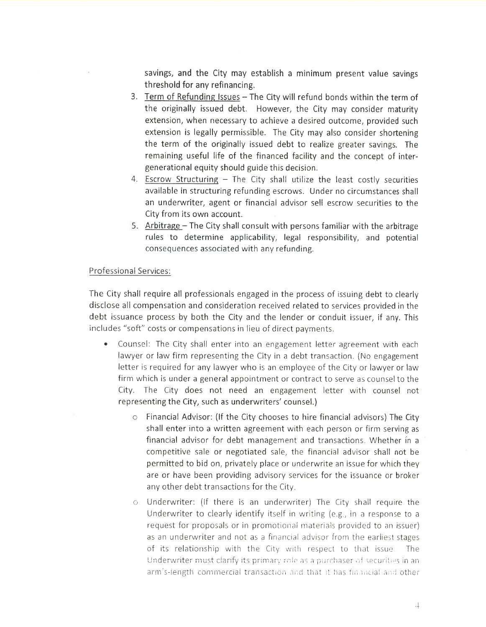savings, and the City may establish a minimum present value savings threshold for any refinancing,

- 3. Term of Refunding Issues The City will refund bonds within the term of the originally issued debt. However, the City may consider maturity extension, when necessary to achieve a desired outcome, provided such extension is legally permissible. The City may also consider shortening the term of the originally issued debt to realize greater savings. The remaining useful life of the financed facility and the concept of intergenerational equity should guide this decision.
- 4. Escrow Structuring  $-$  The City shall utilize the least costly securities available in structuring refunding escrows. Under no circumstances shall an underwriter, agent or financial advisor sell escrow securities to the City from its own account.
- 5. Arbitrage  $-$  The City shall consult with persons familiar with the arbitrage rules to determine applicability, legal responsibility, and potential consequences associated with any refunding.

#### <sup>P</sup>rofessional Services:

The City shall require all professionals engaged in the process of issuing debt to clearly disclose all compensation and consideration received related to services provided in the debt issuance process by both the City and the lender or conduit issuer, if any. This includes "soft" costs or compensations in lieu of direct payments.

- Counsel: The City shall enter into an engagement letter agreement with each lawyer or law firm representing the City in a debt transaction. (No engagement letter is required for any lawyer who is an employee of the City or lawyer or law firm which is under a general appointment or contract to serve as counselto the City. The City does not need an engagement letter with counsel not representing the City, such as underwriters' counsel.)
	- o Financial Advisor: (lf the City chooses to hire financial advisors) The City shall enter into a written agreement with each person or firm serving as financial advisor for debt management and transactions. Whether in <sup>a</sup> competitive sale or negotiated sale, the financial advisor shall not be permitted to bid on, privately place or underwrite an issue for which they are or have been providing advisory services for the issuance or broker any other debt transactions for the City
	- o Underwriter: (lf there is an underwriter) The City shall require the Underwriter to clearly identify itself in writing (e.g., in a response to a request for proposals or in promotional materials provided to an issuer) as an underwriter and not as a financial advisor from the earliest stages of its relationship with the City with respect to that issue. The Underwriter must clarify its primary role as a purchaser of securities in an arm's-length commercial transaction and that it has financial and other